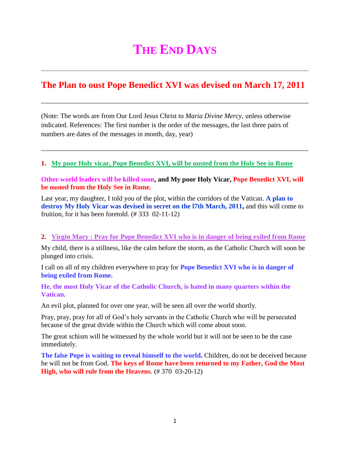# **THE END DAYS**

## **The Plan to oust Pope Benedict XVI was devised on March 17, 2011**

(Note: The words are from Our Lord Jesus Christ to *Maria Divine Mercy*, unless otherwise indicated. References: The first number is the order of the messages, the last three pairs of numbers are dates of the messages in month, day, year)

### **1. [My poor Holy vicar, Pope Benedict XVI, will be ousted from the Holy See in Rome](http://www.thewarningsecondcoming.com/my-poor-holy-vicar-pope-benedict-xvi-will-be-ousted-from-the-holy-see-in-rome/)**

#### **Other world leaders will be killed soon, and My poor Holy Vicar, Pope Benedict XVI, will be ousted from the Holy See in Rome.**

Last year, my daughter, I told you of the plot, within the corridors of the Vatican. **A plan to destroy My Holy Vicar was devised in secret on the l7th March, 2011,** and this will come to fruition, for it has been foretold.  $(\text{\# } 333 \text{ } 02-11-12)$ 

#### **2. Virgin Mary : [Pray for Pope Benedict XVI who is in danger of being exiled from Rome](http://www.thewarningsecondcoming.com/virgin-mary-pray-for-pope-benedict-xvi-who-is-in-danger-of-being-exiled-from-rome/)**

My child, there is a stillness, like the calm before the storm, as the Catholic Church will soon be plunged into crisis.

I call on all of my children everywhere to pray for **Pope Benedict XVI who is in danger of being exiled from Rome.**

**He, the most Holy Vicar of the Catholic Church, is hated in many quarters within the Vatican.**

An evil plot, planned for over one year, will be seen all over the world shortly.

Pray, pray, pray for all of God's holy servants in the Catholic Church who will be persecuted because of the great divide within the Church which will come about soon.

The great schism will be witnessed by the whole world but it will not be seen to be the case immediately.

**The false Pope is waiting to reveal himself to the world.** Children, do not be deceived because he will not be from God. **The keys of Rome have been returned to my Father, God the Most High, who will rule from the Heavens**. (# 370 03-20-12)